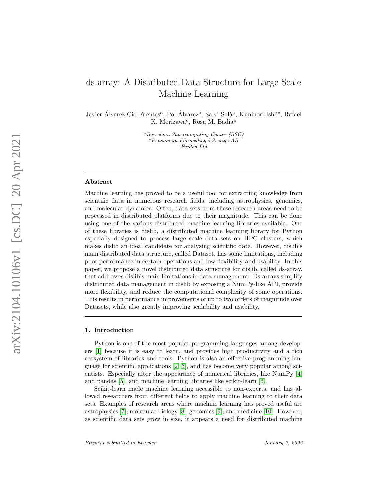# ds-array: A Distributed Data Structure for Large Scale Machine Learning

Javier Álvarez Cid-Fuentes<sup>a</sup>, Pol Álvarez<sup>b</sup>, Salvi Solà<sup>a</sup>, Kuninori Ishii<sup>c</sup>, Rafael K. Morizawa<sup>c</sup>, Rosa M. Badia<sup>a</sup>

> <sup>a</sup>Barcelona Supercomputing Center (BSC)  $b$ Pensionera Förmedling i Sverige AB  $c$ Fujitsu Ltd.

#### Abstract

Machine learning has proved to be a useful tool for extracting knowledge from scientific data in numerous research fields, including astrophysics, genomics, and molecular dynamics. Often, data sets from these research areas need to be processed in distributed platforms due to their magnitude. This can be done using one of the various distributed machine learning libraries available. One of these libraries is dislib, a distributed machine learning library for Python especially designed to process large scale data sets on HPC clusters, which makes dislib an ideal candidate for analyzing scientific data. However, dislib's main distributed data structure, called Dataset, has some limitations, including poor performance in certain operations and low flexibility and usability. In this paper, we propose a novel distributed data structure for dislib, called ds-array, that addresses dislib's main limitations in data management. Ds-arrays simplify distributed data management in dislib by exposing a NumPy-like API, provide more flexibility, and reduce the computational complexity of some operations. This results in performance improvements of up to two orders of magnitude over Datasets, while also greatly improving scalability and usability.

# 1. Introduction

Python is one of the most popular programming languages among developers [\[1\]](#page-16-0) because it is easy to learn, and provides high productivity and a rich ecosystem of libraries and tools. Python is also an effective programming language for scientific applications [\[2,](#page-17-0) [3\]](#page-17-1), and has become very popular among scientists. Especially after the appearance of numerical libraries, like NumPy [\[4\]](#page-17-2) and pandas [\[5\]](#page-17-3), and machine learning libraries like scikit-learn [\[6\]](#page-17-4).

Scikit-learn made machine learning accessible to non-experts, and has allowed researchers from different fields to apply machine learning to their data sets. Examples of research areas where machine learning has proved useful are astrophysics [\[7\]](#page-17-5), molecular biology [\[8\]](#page-17-6), genomics [\[9\]](#page-17-7), and medicine [\[10\]](#page-17-8). However, as scientific data sets grow in size, it appears a need for distributed machine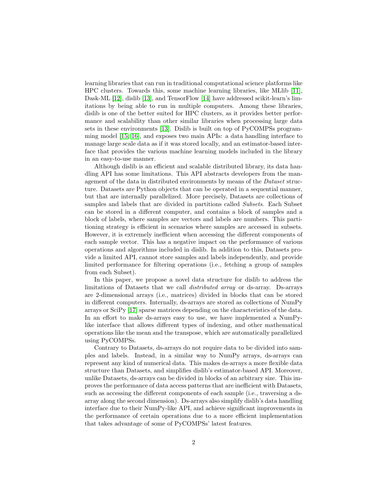learning libraries that can run in traditional computational science platforms like HPC clusters. Towards this, some machine learning libraries, like MLlib [\[11\]](#page-17-9), Dask-ML [\[12\]](#page-17-10), dislib [\[13\]](#page-17-11), and TensorFlow [\[14\]](#page-17-12) have addressed scikit-learn's limitations by being able to run in multiple computers. Among these libraries, dislib is one of the better suited for HPC clusters, as it provides better performance and scalability than other similar libraries when processing large data sets in these environments [\[13\]](#page-17-11). Dislib is built on top of PyCOMPSs programming model [\[15,](#page-18-0) [16\]](#page-18-1), and exposes two main APIs: a data handling interface to manage large scale data as if it was stored locally, and an estimator-based interface that provides the various machine learning models included in the library in an easy-to-use manner.

Although dislib is an efficient and scalable distributed library, its data handling API has some limitations. This API abstracts developers from the management of the data in distributed environments by means of the Dataset structure. Datasets are Python objects that can be operated in a sequential manner, but that are internally parallelized. More precisely, Datasets are collections of samples and labels that are divided in partitions called Subsets. Each Subset can be stored in a different computer, and contains a block of samples and a block of labels, where samples are vectors and labels are numbers. This partitioning strategy is efficient in scenarios where samples are accessed in subsets. However, it is extremely inefficient when accessing the different components of each sample vector. This has a negative impact on the performance of various operations and algorithms included in dislib. In addition to this, Datasets provide a limited API, cannot store samples and labels independently, and provide limited performance for filtering operations (i.e., fetching a group of samples from each Subset).

In this paper, we propose a novel data structure for dislib to address the limitations of Datasets that we call distributed array or ds-array. Ds-arrays are 2-dimensional arrays (i.e., matrices) divided in blocks that can be stored in different computers. Internally, ds-arrays are stored as collections of NumPy arrays or SciPy [\[17\]](#page-18-2) sparse matrices depending on the characteristics of the data. In an effort to make ds-arrays easy to use, we have implemented a NumPylike interface that allows different types of indexing, and other mathematical operations like the mean and the transpose, which are automatically parallelized using PyCOMPSs.

Contrary to Datasets, ds-arrays do not require data to be divided into samples and labels. Instead, in a similar way to NumPy arrays, ds-arrays can represent any kind of numerical data. This makes ds-arrays a more flexible data structure than Datasets, and simplifies dislib's estimator-based API. Moreover, unlike Datasets, ds-arrays can be divided in blocks of an arbitrary size. This improves the performance of data access patterns that are inefficient with Datasets, such as accessing the different components of each sample (i.e., traversing a dsarray along the second dimension). Ds-arrays also simplify dislib's data handling interface due to their NumPy-like API, and achieve significant improvements in the performance of certain operations due to a more efficient implementation that takes advantage of some of PyCOMPSs' latest features.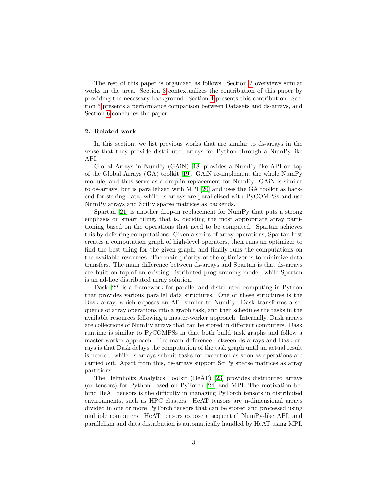The rest of this paper is organized as follows: Section [2](#page-2-0) overviews similar works in the area. Section [3](#page-3-0) contextualizes the contribution of this paper by providing the necessary background. Section [4](#page-6-0) presents this contribution. Section [5](#page-10-0) presents a performance comparison between Datasets and ds-arrays, and Section [6](#page-16-1) concludes the paper.

# <span id="page-2-0"></span>2. Related work

In this section, we list previous works that are similar to ds-arrays in the sense that they provide distributed arrays for Python through a NumPy-like API.

Global Arrays in NumPy (GAiN) [\[18\]](#page-18-3) provides a NumPy-like API on top of the Global Arrays (GA) toolkit [\[19\]](#page-18-4). GAiN re-implement the whole NumPy module, and thus serve as a drop-in replacement for NumPy. GAiN is similar to ds-arrays, but is parallelized with MPI [\[20\]](#page-18-5) and uses the GA toolkit as backend for storing data, while ds-arrays are parallelized with PyCOMPSs and use NumPy arrays and SciPy sparse matrices as backends.

Spartan [\[21\]](#page-18-6) is another drop-in replacement for NumPy that puts a strong emphasis on smart tiling, that is, deciding the most appropriate array partitioning based on the operations that need to be computed. Spartan achieves this by deferring computations. Given a series of array operations, Spartan first creates a computation graph of high-level operators, then runs an optimizer to find the best tiling for the given graph, and finally runs the computations on the available resources. The main priority of the optimizer is to minimize data transfers. The main difference between ds-arrays and Spartan is that ds-arrays are built on top of an existing distributed programming model, while Spartan is an ad-hoc distributed array solution.

Dask [\[22\]](#page-18-7) is a framework for parallel and distributed computing in Python that provides various parallel data structures. One of these structures is the Dask array, which exposes an API similar to NumPy. Dask transforms a sequence of array operations into a graph task, and then schedules the tasks in the available resources following a master-worker approach. Internally, Dask arrays are collections of NumPy arrays that can be stored in different computers. Dask runtime is similar to PyCOMPSs in that both build task graphs and follow a master-worker approach. The main difference between ds-arrays and Dask arrays is that Dask delays the computation of the task graph until an actual result is needed, while ds-arrays submit tasks for execution as soon as operations are carried out. Apart from this, ds-arrays support SciPy sparse matrices as array partitions.

The Helmholtz Analytics Toolkit (HeAT) [\[23\]](#page-18-8) provides distributed arrays (or tensors) for Python based on PyTorch [\[24\]](#page-18-9) and MPI. The motivation behind HeAT tensors is the difficulty in managing PyTorch tensors in distributed environments, such as HPC clusters. HeAT tensors are n-dimensional arrays divided in one or more PyTorch tensors that can be stored and processed using multiple computers. HeAT tensors expose a sequential NumPy-like API, and parallelism and data distribution is automatically handled by HeAT using MPI.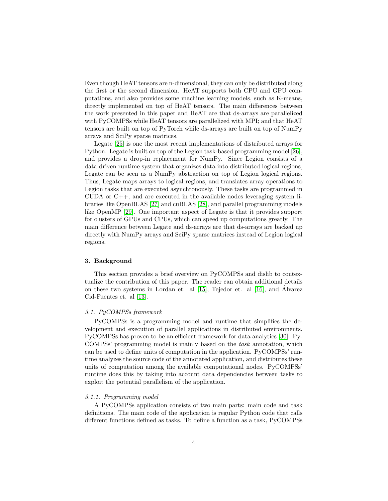Even though HeAT tensors are n-dimensional, they can only be distributed along the first or the second dimension. HeAT supports both CPU and GPU computations, and also provides some machine learning models, such as K-means, directly implemented on top of HeAT tensors. The main differences between the work presented in this paper and HeAT are that ds-arrays are parallelized with PyCOMPSs while HeAT tensors are parallelized with MPI; and that HeAT tensors are built on top of PyTorch while ds-arrays are built on top of NumPy arrays and SciPy sparse matrices.

Legate [\[25\]](#page-18-10) is one the most recent implementations of distributed arrays for Python. Legate is built on top of the Legion task-based programming model [\[26\]](#page-18-11), and provides a drop-in replacement for NumPy. Since Legion consists of a data-driven runtime system that organizes data into distributed logical regions, Legate can be seen as a NumPy abstraction on top of Legion logical regions. Thus, Legate maps arrays to logical regions, and translates array operations to Legion tasks that are executed asynchronously. These tasks are programmed in CUDA or  $C_{++}$ , and are executed in the available nodes leveraging system libraries like OpenBLAS [\[27\]](#page-19-0) and cuBLAS [\[28\]](#page-19-1), and parallel programming models like OpenMP [\[29\]](#page-19-2). One important aspect of Legate is that it provides support for clusters of GPUs and CPUs, which can speed up computations greatly. The main difference between Legate and ds-arrays are that ds-arrays are backed up directly with NumPy arrays and SciPy sparse matrices instead of Legion logical regions.

## <span id="page-3-0"></span>3. Background

This section provides a brief overview on PyCOMPSs and dislib to contextualize the contribution of this paper. The reader can obtain additional details on these two systems in Lordan et. al [\[15\]](#page-18-0), Tejedor et. al [\[16\]](#page-18-1), and Alvarez ´ Cid-Fuentes et. al [\[13\]](#page-17-11).

# 3.1. PyCOMPSs framework

PyCOMPSs is a programming model and runtime that simplifies the development and execution of parallel applications in distributed environments. PyCOMPSs has proven to be an efficient framework for data analytics [\[30\]](#page-19-3). Py-COMPSs' programming model is mainly based on the task annotation, which can be used to define units of computation in the application. PyCOMPSs' runtime analyzes the source code of the annotated application, and distributes these units of computation among the available computational nodes. PyCOMPSs' runtime does this by taking into account data dependencies between tasks to exploit the potential parallelism of the application.

#### 3.1.1. Programming model

A PyCOMPSs application consists of two main parts: main code and task definitions. The main code of the application is regular Python code that calls different functions defined as tasks. To define a function as a task, PyCOMPSs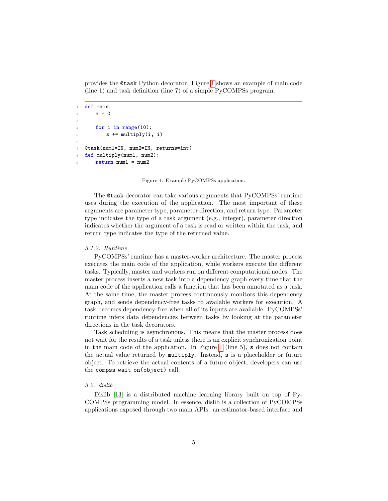provides the @task Python decorator. Figure [1](#page-4-0) shows an example of main code (line 1) and task definition (line 7) of a simple PyCOMPSs program.

```
def main:
2 s = 03
4 for i in range(10):
5 s += multiply(i, i)
6
  7 @task(num1=IN, num2=IN, returns=int)
8 def multiply(num1, num2):
      9 return num1 * num2
```
Figure 1: Example PyCOMPSs application.

The @task decorator can take various arguments that PyCOMPSs' runtime uses during the execution of the application. The most important of these arguments are parameter type, parameter direction, and return type. Parameter type indicates the type of a task argument (e.g., integer), parameter direction indicates whether the argument of a task is read or written within the task, and return type indicates the type of the returned value.

#### 3.1.2. Runtime

PyCOMPSs' runtime has a master-worker architecture. The master process executes the main code of the application, while workers execute the different tasks. Typically, master and workers run on different computational nodes. The master process inserts a new task into a dependency graph every time that the main code of the application calls a function that has been annotated as a task. At the same time, the master process continuously monitors this dependency graph, and sends dependency-free tasks to available workers for execution. A task becomes dependency-free when all of its inputs are available. PyCOMPSs' runtime infers data dependencies between tasks by looking at the parameter directions in the task decorators.

Task scheduling is asynchronous. This means that the master process does not wait for the results of a task unless there is an explicit synchronization point in the main code of the application. In Figure [1](#page-4-0) (line 5), s does not contain the actual value returned by multiply. Instead, s is a placeholder or future object. To retrieve the actual contents of a future object, developers can use the compss\_wait\_on(object) call.

## 3.2. dislib

Dislib [\[13\]](#page-17-11) is a distributed machine learning library built on top of Py-COMPSs programming model. In essence, dislib is a collection of PyCOMPSs applications exposed through two main APIs: an estimator-based interface and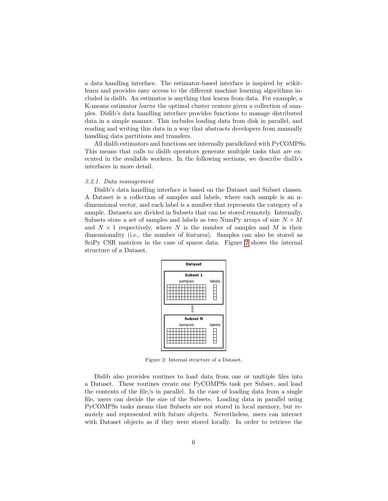a data handling interface. The estimator-based interface is inspired by scikitlearn and provides easy access to the different machine learning algorithms included in dislib. An estimator is anything that learns from data. For example, a K-means estimator learns the optimal cluster centers given a collection of samples. Dislib's data handling interface provides functions to manage distributed data in a simple manner. This includes loading data from disk in parallel, and reading and writing this data in a way that abstracts developers from manually handling data partitions and transfers.

All dislib estimators and functions are internally parallelized with PyCOMPSs. This means that calls to dislib operators generate multiple tasks that are executed in the available workers. In the following sections, we describe dislib's interfaces in more detail.

#### 3.2.1. Data management

<span id="page-5-0"></span>Dislib's data handling interface is based on the Dataset and Subset classes. A Dataset is a collection of samples and labels, where each sample is an ndimensional vector, and each label is a number that represents the category of a sample. Datasets are divided in Subsets that can be stored remotely. Internally, Subsets store a set of samples and labels as two NumPy arrays of size  $N \times M$ and  $N \times 1$  respectively, where N is the number of samples and M is their dimensionality (i.e., the number of features). Samples can also be stored as SciPy CSR matrices in the case of sparse data. Figure [2](#page-5-0) shows the internal structure of a Dataset.



Figure 2: Internal structure of a Dataset.

Dislib also provides routines to load data from one or multiple files into a Dataset. These routines create one PyCOMPSs task per Subset, and load the contents of the file/s in parallel. In the case of loading data from a single file, users can decide the size of the Subsets. Loading data in parallel using PyCOMPSs tasks means that Subsets are not stored in local memory, but remotely and represented with future objects. Nevertheless, users can interact with Dataset objects as if they were stored locally. In order to retrieve the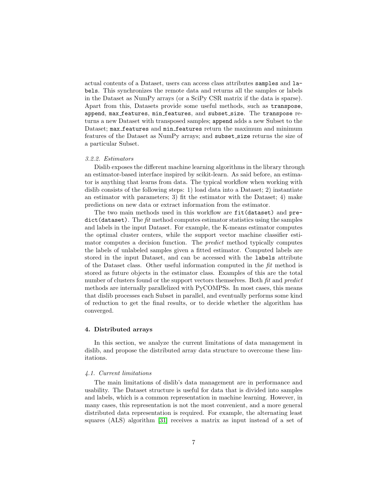actual contents of a Dataset, users can access class attributes samples and labels. This synchronizes the remote data and returns all the samples or labels in the Dataset as NumPy arrays (or a SciPy CSR matrix if the data is sparse). Apart from this, Datasets provide some useful methods, such as transpose, append, max features, min features, and subset size. The transpose returns a new Dataset with transposed samples; append adds a new Subset to the Dataset; max features and min features return the maximum and minimum features of the Dataset as NumPy arrays; and subset\_size returns the size of a particular Subset.

# 3.2.2. Estimators

Dislib exposes the different machine learning algorithms in the library through an estimator-based interface inspired by scikit-learn. As said before, an estimator is anything that learns from data. The typical workflow when working with dislib consists of the following steps: 1) load data into a Dataset; 2) instantiate an estimator with parameters; 3) fit the estimator with the Dataset; 4) make predictions on new data or extract information from the estimator.

The two main methods used in this workflow are fit(dataset) and pre $dict(dataset)$ . The fit method computes estimator statistics using the samples and labels in the input Dataset. For example, the K-means estimator computes the optimal cluster centers, while the support vector machine classifier estimator computes a decision function. The predict method typically computes the labels of unlabeled samples given a fitted estimator. Computed labels are stored in the input Dataset, and can be accessed with the labels attribute of the Dataset class. Other useful information computed in the fit method is stored as future objects in the estimator class. Examples of this are the total number of clusters found or the support vectors themselves. Both fit and *predict* methods are internally parallelized with PyCOMPSs. In most cases, this means that dislib processes each Subset in parallel, and eventually performs some kind of reduction to get the final results, or to decide whether the algorithm has converged.

# <span id="page-6-0"></span>4. Distributed arrays

In this section, we analyze the current limitations of data management in dislib, and propose the distributed array data structure to overcome these limitations.

#### <span id="page-6-1"></span>4.1. Current limitations

The main limitations of dislib's data management are in performance and usability. The Dataset structure is useful for data that is divided into samples and labels, which is a common representation in machine learning. However, in many cases, this representation is not the most convenient, and a more general distributed data representation is required. For example, the alternating least squares (ALS) algorithm [\[31\]](#page-19-4) receives a matrix as input instead of a set of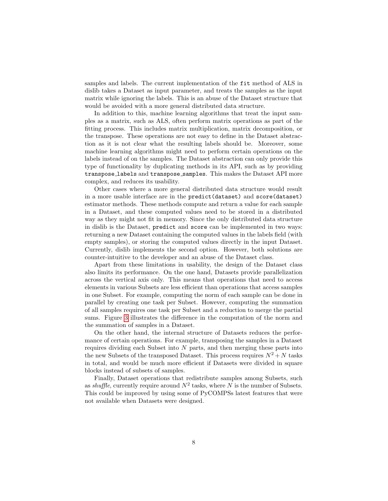samples and labels. The current implementation of the fit method of ALS in dislib takes a Dataset as input parameter, and treats the samples as the input matrix while ignoring the labels. This is an abuse of the Dataset structure that would be avoided with a more general distributed data structure.

In addition to this, machine learning algorithms that treat the input samples as a matrix, such as ALS, often perform matrix operations as part of the fitting process. This includes matrix multiplication, matrix decomposition, or the transpose. These operations are not easy to define in the Dataset abstraction as it is not clear what the resulting labels should be. Moreover, some machine learning algorithms might need to perform certain operations on the labels instead of on the samples. The Dataset abstraction can only provide this type of functionality by duplicating methods in its API, such as by providing transpose labels and transpose samples. This makes the Dataset API more complex, and reduces its usability.

Other cases where a more general distributed data structure would result in a more usable interface are in the predict(dataset) and score(dataset) estimator methods. These methods compute and return a value for each sample in a Dataset, and these computed values need to be stored in a distributed way as they might not fit in memory. Since the only distributed data structure in dislib is the Dataset, predict and score can be implemented in two ways: returning a new Dataset containing the computed values in the labels field (with empty samples), or storing the computed values directly in the input Dataset. Currently, dislib implements the second option. However, both solutions are counter-intuitive to the developer and an abuse of the Dataset class.

Apart from these limitations in usability, the design of the Dataset class also limits its performance. On the one hand, Datasets provide parallelization across the vertical axis only. This means that operations that need to access elements in various Subsets are less efficient than operations that access samples in one Subset. For example, computing the norm of each sample can be done in parallel by creating one task per Subset. However, computing the summation of all samples requires one task per Subset and a reduction to merge the partial sums. Figure [3](#page-8-0) illustrates the difference in the computation of the norm and the summation of samples in a Dataset.

On the other hand, the internal structure of Datasets reduces the performance of certain operations. For example, transposing the samples in a Dataset requires dividing each Subset into  $N$  parts, and then merging these parts into the new Subsets of the transposed Dataset. This process requires  $N^2 + N$  tasks in total, and would be much more efficient if Datasets were divided in square blocks instead of subsets of samples.

Finally, Dataset operations that redistribute samples among Subsets, such as shuffle, currently require around  $N^2$  tasks, where N is the number of Subsets. This could be improved by using some of PyCOMPSs latest features that were not available when Datasets were designed.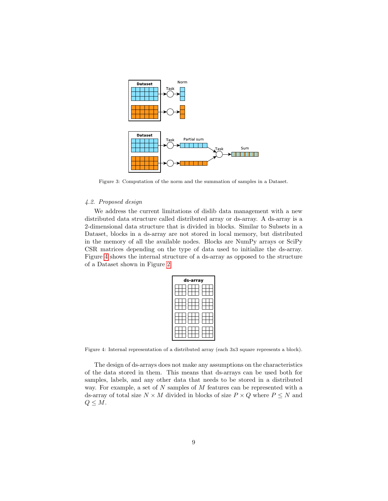<span id="page-8-0"></span>

Figure 3: Computation of the norm and the summation of samples in a Dataset.

# 4.2. Proposed design

<span id="page-8-1"></span>We address the current limitations of dislib data management with a new distributed data structure called distributed array or ds-array. A ds-array is a 2-dimensional data structure that is divided in blocks. Similar to Subsets in a Dataset, blocks in a ds-array are not stored in local memory, but distributed in the memory of all the available nodes. Blocks are NumPy arrays or SciPy CSR matrices depending on the type of data used to initialize the ds-array. Figure [4](#page-8-1) shows the internal structure of a ds-array as opposed to the structure of a Dataset shown in Figure [2.](#page-5-0)

| ds-array |  |
|----------|--|
|          |  |
|          |  |
|          |  |
|          |  |

Figure 4: Internal representation of a distributed array (each 3x3 square represents a block).

The design of ds-arrays does not make any assumptions on the characteristics of the data stored in them. This means that ds-arrays can be used both for samples, labels, and any other data that needs to be stored in a distributed way. For example, a set of N samples of M features can be represented with a ds-array of total size  $N \times M$  divided in blocks of size  $P \times Q$  where  $P \leq N$  and  $Q \leq M$ .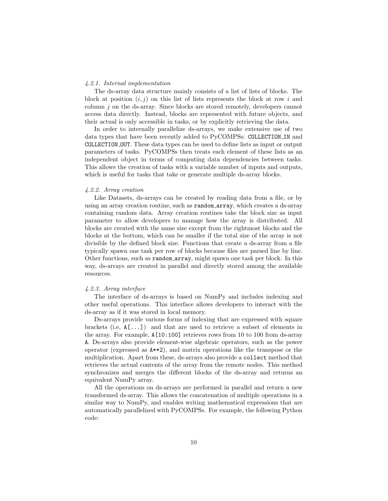# <span id="page-9-0"></span>4.2.1. Internal implementation

The ds-array data structure mainly consists of a list of lists of blocks. The block at position  $(i, j)$  on this list of lists represents the block at row i and column j on the ds-array. Since blocks are stored remotely, developers cannot access data directly. Instead, blocks are represented with future objects, and their actual is only accessible in tasks, or by explicitly retrieving the data.

In order to internally parallelize ds-arrays, we make extensive use of two data types that have been recently added to PyCOMPSs: COLLECTION IN and COLLECTION OUT. These data types can be used to define lists as input or output parameters of tasks. PyCOMPSs then treats each element of these lists as an independent object in terms of computing data dependencies between tasks. This allows the creation of tasks with a variable number of inputs and outputs, which is useful for tasks that take or generate multiple ds-array blocks.

#### 4.2.2. Array creation

Like Datasets, ds-arrays can be created by reading data from a file, or by using an array creation routine, such as random array, which creates a ds-array containing random data. Array creation routines take the block size as input parameter to allow developers to manage how the array is distributed. All blocks are created with the same size except from the rightmost blocks and the blocks at the bottom, which can be smaller if the total size of the array is not divisible by the defined block size. Functions that create a ds-array from a file typically spawn one task per row of blocks because files are parsed line by line. Other functions, such as random array, might spawn one task per block. In this way, ds-arrays are created in parallel and directly stored among the available resources.

# 4.2.3. Array interface

The interface of ds-arrays is based on NumPy and includes indexing and other useful operations. This interface allows developers to interact with the ds-array as if it was stored in local memory.

Ds-arrays provide various forms of indexing that are expressed with square brackets (i.e,  $A[\ldots]$ ) and that are used to retrieve a subset of elements in the array. For example,  $A[10:100]$  retrieves rows from 10 to 100 from ds-array A. Ds-arrays also provide element-wise algebraic operators, such as the power operator (expressed as A\*\*2), and matrix operations like the transpose or the multiplication. Apart from these, ds-arrays also provide a collect method that retrieves the actual contents of the array from the remote nodes. This method synchronizes and merges the different blocks of the ds-array and returns an equivalent NumPy array.

All the operations on ds-arrays are performed in parallel and return a new transformed ds-array. This allows the concatenation of multiple operations in a similar way to NumPy, and enables writing mathematical expressions that are automatically parallelized with PyCOMPSs. For example, the following Python code: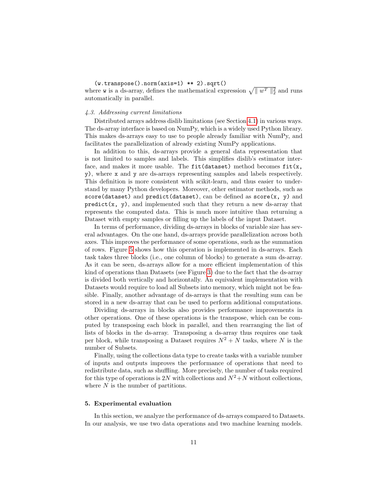# (w.transpose().norm(axis=1) \*\* 2).sqrt()

where **w** is a ds-array, defines the mathematical expression  $\sqrt{\|w^T\|_2^2}$  and runs automatically in parallel.

# 4.3. Addressing current limitations

Distributed arrays address dislib limitations (see Section [4.1\)](#page-6-1) in various ways. The ds-array interface is based on NumPy, which is a widely used Python library. This makes ds-arrays easy to use to people already familiar with NumPy, and facilitates the parallelization of already existing NumPy applications.

In addition to this, ds-arrays provide a general data representation that is not limited to samples and labels. This simplifies dislib's estimator interface, and makes it more usable. The  $fit(dataset)$  method becomes  $fit(x,$ y), where x and y are ds-arrays representing samples and labels respectively. This definition is more consistent with scikit-learn, and thus easier to understand by many Python developers. Moreover, other estimator methods, such as score(dataset) and predict(dataset), can be defined as score(x, y) and  $predict(x, y)$ , and implemented such that they return a new ds-array that represents the computed data. This is much more intuitive than returning a Dataset with empty samples or filling up the labels of the input Dataset.

In terms of performance, dividing ds-arrays in blocks of variable size has several advantages. On the one hand, ds-arrays provide parallelization across both axes. This improves the performance of some operations, such as the summation of rows. Figure [5](#page-11-0) shows how this operation is implemented in ds-arrays. Each task takes three blocks (i.e., one column of blocks) to generate a sum ds-array. As it can be seen, ds-arrays allow for a more efficient implementation of this kind of operations than Datasets (see Figure [3\)](#page-8-0) due to the fact that the ds-array is divided both vertically and horizontally. An equivalent implementation with Datasets would require to load all Subsets into memory, which might not be feasible. Finally, another advantage of ds-arrays is that the resulting sum can be stored in a new ds-array that can be used to perform additional computations.

Dividing ds-arrays in blocks also provides performance improvements in other operations. One of these operations is the transpose, which can be computed by transposing each block in parallel, and then rearranging the list of lists of blocks in the ds-array. Transposing a ds-array thus requires one task per block, while transposing a Dataset requires  $N^2 + N$  tasks, where N is the number of Subsets.

Finally, using the collections data type to create tasks with a variable number of inputs and outputs improves the performance of operations that need to redistribute data, such as shuffling. More precisely, the number of tasks required for this type of operations is 2N with collections and  $N^2+N$  without collections, where  $N$  is the number of partitions.

#### <span id="page-10-0"></span>5. Experimental evaluation

In this section, we analyze the performance of ds-arrays compared to Datasets. In our analysis, we use two data operations and two machine learning models.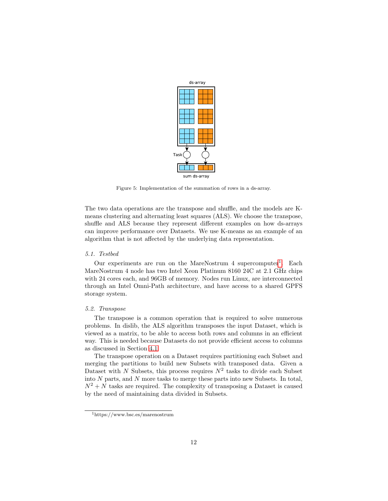<span id="page-11-0"></span>

Figure 5: Implementation of the summation of rows in a ds-array.

The two data operations are the transpose and shuffle, and the models are Kmeans clustering and alternating least squares (ALS). We choose the transpose, shuffle and ALS because they represent different examples on how ds-arrays can improve performance over Datasets. We use K-means as an example of an algorithm that is not affected by the underlying data representation.

# 5.1. Testbed

Our experiments are run on the MareNostrum  $4$  supercomputer<sup>[1](#page-11-1)</sup>. Each MareNostrum 4 node has two Intel Xeon Platinum 8160 24C at 2.1 GHz chips with 24 cores each, and 96GB of memory. Nodes run Linux, are interconnected through an Intel Omni-Path architecture, and have access to a shared GPFS storage system.

# 5.2. Transpose

The transpose is a common operation that is required to solve numerous problems. In dislib, the ALS algorithm transposes the input Dataset, which is viewed as a matrix, to be able to access both rows and columns in an efficient way. This is needed because Datasets do not provide efficient access to columns as discussed in Section [4.1.](#page-6-1)

The transpose operation on a Dataset requires partitioning each Subset and merging the partitions to build new Subsets with transposed data. Given a Dataset with N Subsets, this process requires  $N^2$  tasks to divide each Subset into N parts, and N more tasks to merge these parts into new Subsets. In total,  $N^2 + N$  tasks are required. The complexity of transposing a Dataset is caused by the need of maintaining data divided in Subsets.

<span id="page-11-1"></span><sup>1</sup>https://www.bsc.es/marenostrum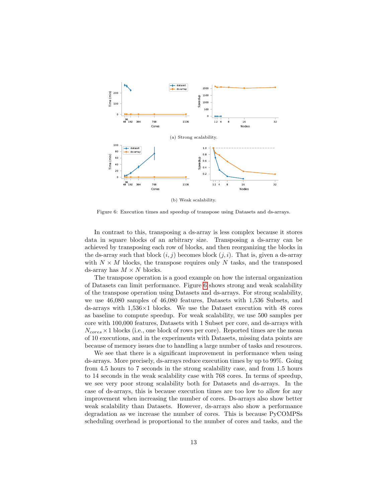<span id="page-12-0"></span>

Figure 6: Execution times and speedup of transpose using Datasets and ds-arrays.

In contrast to this, transposing a ds-array is less complex because it stores data in square blocks of an arbitrary size. Transposing a ds-array can be achieved by transposing each row of blocks, and then reorganizing the blocks in the ds-array such that block  $(i, j)$  becomes block  $(j, i)$ . That is, given a ds-array with  $N \times M$  blocks, the transpose requires only N tasks, and the transposed ds-array has  $M \times N$  blocks.

The transpose operation is a good example on how the internal organization of Datasets can limit performance. Figure [6](#page-12-0) shows strong and weak scalability of the transpose operation using Datasets and ds-arrays. For strong scalability, we use 46,080 samples of 46,080 features, Datasets with 1,536 Subsets, and ds-arrays with  $1,536\times1$  blocks. We use the Dataset execution with 48 cores as baseline to compute speedup. For weak scalability, we use 500 samples per core with 100,000 features, Datasets with 1 Subset per core, and ds-arrays with  $N_{cores}\times1$  blocks (i.e., one block of rows per core). Reported times are the mean of 10 executions, and in the experiments with Datasets, missing data points are because of memory issues due to handling a large number of tasks and resources.

We see that there is a significant improvement in performance when using ds-arrays. More precisely, ds-arrays reduce execution times by up to 99%. Going from 4.5 hours to 7 seconds in the strong scalability case, and from 1.5 hours to 14 seconds in the weak scalability case with 768 cores. In terms of speedup, we see very poor strong scalability both for Datasets and ds-arrays. In the case of ds-arrays, this is because execution times are too low to allow for any improvement when increasing the number of cores. Ds-arrays also show better weak scalability than Datasets. However, ds-arrays also show a performance degradation as we increase the number of cores. This is because PyCOMPSs scheduling overhead is proportional to the number of cores and tasks, and the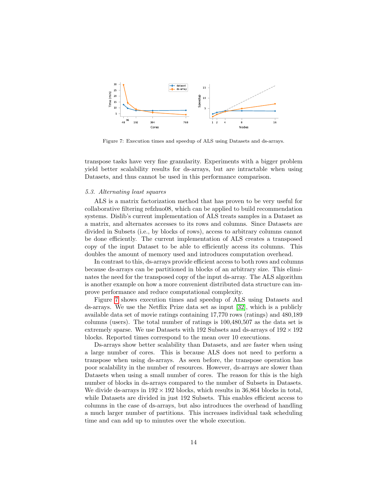<span id="page-13-0"></span>

Figure 7: Execution times and speedup of ALS using Datasets and ds-arrays.

transpose tasks have very fine granularity. Experiments with a bigger problem yield better scalability results for ds-arrays, but are intractable when using Datasets, and thus cannot be used in this performance comparison.

# 5.3. Alternating least squares

ALS is a matrix factorization method that has proven to be very useful for collaborative filtering refzhuo08, which can be applied to build recommendation systems. Dislib's current implementation of ALS treats samples in a Dataset as a matrix, and alternates accesses to its rows and columns. Since Datasets are divided in Subsets (i.e., by blocks of rows), access to arbitrary columns cannot be done efficiently. The current implementation of ALS creates a transposed copy of the input Dataset to be able to efficiently access its columns. This doubles the amount of memory used and introduces computation overhead.

In contrast to this, ds-arrays provide efficient access to both rows and columns because ds-arrays can be partitioned in blocks of an arbitrary size. This eliminates the need for the transposed copy of the input ds-array. The ALS algorithm is another example on how a more convenient distributed data structure can improve performance and reduce computational complexity.

Figure [7](#page-13-0) shows execution times and speedup of ALS using Datasets and ds-arrays. We use the Netflix Prize data set as input [\[32\]](#page-19-5), which is a publicly available data set of movie ratings containing 17,770 rows (ratings) and 480,189 columns (users). The total number of ratings is 100,480,507 as the data set is extremely sparse. We use Datasets with 192 Subsets and ds-arrays of  $192 \times 192$ blocks. Reported times correspond to the mean over 10 executions.

Ds-arrays show better scalability than Datasets, and are faster when using a large number of cores. This is because ALS does not need to perform a transpose when using ds-arrays. As seen before, the transpose operation has poor scalability in the number of resources. However, ds-arrays are slower than Datasets when using a small number of cores. The reason for this is the high number of blocks in ds-arrays compared to the number of Subsets in Datasets. We divide ds-arrays in  $192 \times 192$  blocks, which results in 36,864 blocks in total, while Datasets are divided in just 192 Subsets. This enables efficient access to columns in the case of ds-arrays, but also introduces the overhead of handling a much larger number of partitions. This increases individual task scheduling time and can add up to minutes over the whole execution.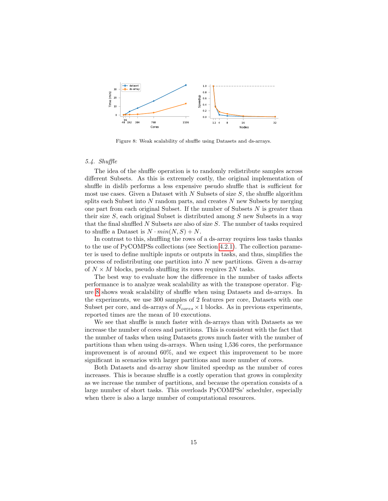<span id="page-14-0"></span>

Figure 8: Weak scalability of shuffle using Datasets and ds-arrays.

#### 5.4. Shuffle

The idea of the shuffle operation is to randomly redistribute samples across different Subsets. As this is extremely costly, the original implementation of shuffle in dislib performs a less expensive pseudo shuffle that is sufficient for most use cases. Given a Dataset with  $N$  Subsets of size  $S$ , the shuffle algorithm splits each Subset into  $N$  random parts, and creates  $N$  new Subsets by merging one part from each original Subset. If the number of Subsets  $N$  is greater than their size  $S$ , each original Subset is distributed among  $S$  new Subsets in a way that the final shuffled N Subsets are also of size S. The number of tasks required to shuffle a Dataset is  $N \cdot min(N, S) + N$ .

In contrast to this, shuffling the rows of a ds-array requires less tasks thanks to the use of PyCOMPSs collections (see Section [4.2.1\)](#page-9-0). The collection parameter is used to define multiple inputs or outputs in tasks, and thus, simplifies the process of redistributing one partition into N new partitions. Given a ds-array of  $N \times M$  blocks, pseudo shuffling its rows requires 2N tasks.

The best way to evaluate how the difference in the number of tasks affects performance is to analyze weak scalability as with the transpose operator. Figure [8](#page-14-0) shows weak scalability of shuffle when using Datasets and ds-arrays. In the experiments, we use 300 samples of 2 features per core, Datasets with one Subset per core, and ds-arrays of  $N_{cores} \times 1$  blocks. As in previous experiments, reported times are the mean of 10 executions.

We see that shuffle is much faster with ds-arrays than with Datasets as we increase the number of cores and partitions. This is consistent with the fact that the number of tasks when using Datasets grows much faster with the number of partitions than when using ds-arrays. When using 1,536 cores, the performance improvement is of around 60%, and we expect this improvement to be more significant in scenarios with larger partitions and more number of cores.

Both Datasets and ds-array show limited speedup as the number of cores increases. This is because shuffle is a costly operation that grows in complexity as we increase the number of partitions, and because the operation consists of a large number of short tasks. This overloads PyCOMPSs' scheduler, especially when there is also a large number of computational resources.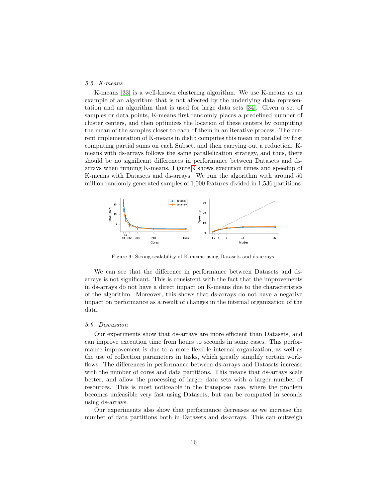# 5.5. K-means

K-means [\[33\]](#page-19-6) is a well-known clustering algorithm. We use K-means as an example of an algorithm that is not affected by the underlying data representation and an algorithm that is used for large data sets [\[34\]](#page-19-7). Given a set of samples or data points, K-means first randomly places a predefined number of cluster centers, and then optimizes the location of these centers by computing the mean of the samples closer to each of them in an iterative process. The current implementation of K-means in dislib computes this mean in parallel by first computing partial sums on each Subset, and then carrying out a reduction. Kmeans with ds-arrays follows the same parallelization strategy, and thus, there should be no significant differences in performance between Datasets and dsarrays when running K-means. Figure [9](#page-15-0) shows execution times and speedup of K-means with Datasets and ds-arrays. We run the algorithm with around 50 million randomly generated samples of 1,000 features divided in 1,536 partitions.

<span id="page-15-0"></span>

Figure 9: Strong scalability of K-means using Datasets and ds-arrays.

We can see that the difference in performance between Datasets and dsarrays is not significant. This is consistent with the fact that the improvements in ds-arrays do not have a direct impact on K-means due to the characteristics of the algorithm. Moreover, this shows that ds-arrays do not have a negative impact on performance as a result of changes in the internal organization of the data.

## 5.6. Discussion

Our experiments show that ds-arrays are more efficient than Datasets, and can improve execution time from hours to seconds in some cases. This performance improvement is due to a more flexible internal organization, as well as the use of collection parameters in tasks, which greatly simplify certain workflows. The differences in performance between ds-arrays and Datasets increase with the number of cores and data partitions. This means that ds-arrays scale better, and allow the processing of larger data sets with a larger number of resources. This is most noticeable in the transpose case, where the problem becomes unfeasible very fast using Datasets, but can be computed in seconds using ds-arrays.

Our experiments also show that performance decreases as we increase the number of data partitions both in Datasets and ds-arrays. This can outweigh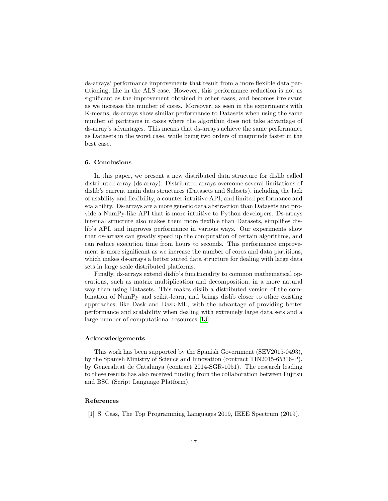ds-arrays' performance improvements that result from a more flexible data partitioning, like in the ALS case. However, this performance reduction is not as significant as the improvement obtained in other cases, and becomes irrelevant as we increase the number of cores. Moreover, as seen in the experiments with K-means, ds-arrays show similar performance to Datasets when using the same number of partitions in cases where the algorithm does not take advantage of ds-array's advantages. This means that ds-arrays achieve the same performance as Datasets in the worst case, while being two orders of magnitude faster in the best case.

# <span id="page-16-1"></span>6. Conclusions

In this paper, we present a new distributed data structure for dislib called distributed array (ds-array). Distributed arrays overcome several limitations of dislib's current main data structures (Datasets and Subsets), including the lack of usability and flexibility, a counter-intuitive API, and limited performance and scalability. Ds-arrays are a more generic data abstraction than Datasets and provide a NumPy-like API that is more intuitive to Python developers. Ds-arrays internal structure also makes them more flexible than Datasets, simplifies dislib's API, and improves performance in various ways. Our experiments show that ds-arrays can greatly speed up the computation of certain algorithms, and can reduce execution time from hours to seconds. This performance improvement is more significant as we increase the number of cores and data partitions, which makes ds-arrays a better suited data structure for dealing with large data sets in large scale distributed platforms.

Finally, ds-arrays extend dislib's functionality to common mathematical operations, such as matrix multiplication and decomposition, in a more natural way than using Datasets. This makes dislib a distributed version of the combination of NumPy and scikit-learn, and brings dislib closer to other existing approaches, like Dask and Dask-ML, with the advantage of providing better performance and scalability when dealing with extremely large data sets and a large number of computational resources [\[13\]](#page-17-11).

#### Acknowledgements

This work has been supported by the Spanish Government (SEV2015-0493), by the Spanish Ministry of Science and Innovation (contract TIN2015-65316-P), by Generalitat de Catalunya (contract 2014-SGR-1051). The research leading to these results has also received funding from the collaboration between Fujitsu and BSC (Script Language Platform).

## References

<span id="page-16-0"></span>[1] S. Cass, The Top Programming Languages 2019, IEEE Spectrum (2019).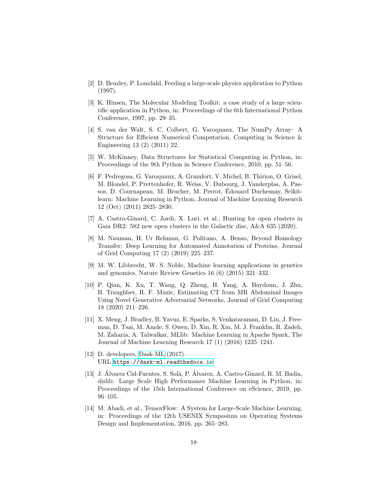- <span id="page-17-0"></span>[2] D. Beazley, P. Lomdahl, Feeding a large-scale physics application to Python (1997).
- <span id="page-17-1"></span>[3] K. Hinsen, The Molecular Modeling Toolkit: a case study of a large scientific application in Python, in: Proceedings of the 6th International Python Conference, 1997, pp. 29–35.
- <span id="page-17-2"></span>[4] S. van der Walt, S. C. Colbert, G. Varoquaux, The NumPy Array: A Structure for Efficient Numerical Computation, Computing in Science & Engineering 13 (2) (2011) 22.
- <span id="page-17-3"></span>[5] W. McKinney, Data Structures for Statistical Computing in Python, in: Proceedings of the 9th Python in Science Conference, 2010, pp. 51–56.
- <span id="page-17-4"></span>[6] F. Pedregosa, G. Varoquaux, A. Gramfort, V. Michel, B. Thirion, O. Grisel, M. Blondel, P. Prettenhofer, R. Weiss, V. Dubourg, J. Vanderplas, A. Passos, D. Cournapeau, M. Brucher, M. Perrot, Edouard Duchesnay, Scikit- ´ learn: Machine Learning in Python, Journal of Machine Learning Research 12 (Oct) (2011) 2825–2830.
- <span id="page-17-5"></span>[7] A. Castro-Ginard, C. Jordi, X. Luri, et al., Hunting for open clusters in Gaia DR2: 582 new open clusters in the Galactic disc, A&A 635 (2020).
- <span id="page-17-6"></span>[8] M. Nauman, H. Ur Rehman, G. Politano, A. Benso, Beyond Homology Transfer: Deep Learning for Automated Annotation of Proteins, Journal of Grid Computing 17 (2) (2019) 225–237.
- <span id="page-17-7"></span>[9] M. W. Libbrecht, W. S. Noble, Machine learning applications in genetics and genomics, Nature Review Genetics 16 (6) (2015) 321–332.
- <span id="page-17-8"></span>[10] P. Qian, K. Xu, T. Wang, Q. Zheng, H. Yang, A. Baydoun, J. Zhu, B. Traughber, R. F. Muzic, Estimating CT from MR Abdominal Images Using Novel Generative Adversarial Networks, Journal of Grid Computing 18 (2020) 211–226.
- <span id="page-17-9"></span>[11] X. Meng, J. Bradley, B. Yavuz, E. Sparks, S. Venkataraman, D. Liu, J. Freeman, D. Tsai, M. Amde, S. Owen, D. Xin, R. Xin, M. J. Franklin, R. Zadeh, M. Zaharia, A. Talwalkar, MLlib: Machine Learning in Apache Spark, The Journal of Machine Learning Research 17 (1) (2016) 1235–1241.
- <span id="page-17-10"></span>[12] D. developers, [Dask-ML](https://dask-ml.readthedocs.io) (2017). URL <https://dask-ml.readthedocs.io>
- <span id="page-17-11"></span>[13] J. Alvarez Cid-Fuentes, S. Solà, P. Alvarez, A. Castro-Ginard, R. M. Badia, dislib: Large Scale High Performance Machine Learning in Python, in: Proceedings of the 15th International Conference on eScience, 2019, pp. 96–105.
- <span id="page-17-12"></span>[14] M. Abadi, et al., TensorFlow: A System for Large-Scale Machine Learning, in: Proceedings of the 12th USENIX Symposium on Operating Systems Design and Implementation, 2016, pp. 265–283.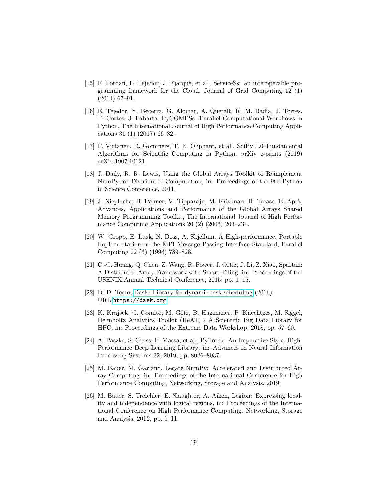- <span id="page-18-0"></span>[15] F. Lordan, E. Tejedor, J. Ejarque, et al., ServiceSs: an interoperable programming framework for the Cloud, Journal of Grid Computing 12 (1) (2014) 67–91.
- <span id="page-18-1"></span>[16] E. Tejedor, Y. Becerra, G. Alomar, A. Queralt, R. M. Badia, J. Torres, T. Cortes, J. Labarta, PyCOMPSs: Parallel Computational Workflows in Python, The International Journal of High Performance Computing Applications 31 (1) (2017) 66–82.
- <span id="page-18-2"></span>[17] P. Virtanen, R. Gommers, T. E. Oliphant, et al., SciPy 1.0–Fundamental Algorithms for Scientific Computing in Python, arXiv e-prints (2019) arXiv:1907.10121.
- <span id="page-18-3"></span>[18] J. Daily, R. R. Lewis, Using the Global Arrays Toolkit to Reimplement NumPy for Distributed Computation, in: Proceedings of the 9th Python in Science Conference, 2011.
- <span id="page-18-4"></span>[19] J. Nieplocha, B. Palmer, V. Tipparaju, M. Krishnan, H. Trease, E. Aprà, Advances, Applications and Performance of the Global Arrays Shared Memory Programming Toolkit, The International Journal of High Performance Computing Applications 20 (2) (2006) 203–231.
- <span id="page-18-5"></span>[20] W. Gropp, E. Lusk, N. Doss, A. Skjellum, A High-performance, Portable Implementation of the MPI Message Passing Interface Standard, Parallel Computing 22 (6) (1996) 789–828.
- <span id="page-18-6"></span>[21] C.-C. Huang, Q. Chen, Z. Wang, R. Power, J. Ortiz, J. Li, Z. Xiao, Spartan: A Distributed Array Framework with Smart Tiling, in: Proceedings of the USENIX Annual Technical Conference, 2015, pp. 1–15.
- <span id="page-18-7"></span>[22] D. D. Team, [Dask: Library for dynamic task scheduling](https://dask.org) (2016). URL <https://dask.org>
- <span id="page-18-8"></span>[23] K. Krajsek, C. Comito, M. Götz, B. Hagemeier, P. Knechtges, M. Siggel, Helmholtz Analytics Toolkit (HeAT) - A Scientific Big Data Library for HPC, in: Proceedings of the Extreme Data Workshop, 2018, pp. 57–60.
- <span id="page-18-9"></span>[24] A. Paszke, S. Gross, F. Massa, et al., PyTorch: An Imperative Style, High-Performance Deep Learning Library, in: Advances in Neural Information Processing Systems 32, 2019, pp. 8026–8037.
- <span id="page-18-10"></span>[25] M. Bauer, M. Garland, Legate NumPy: Accelerated and Distributed Array Computing, in: Proceedings of the International Conference for High Performance Computing, Networking, Storage and Analysis, 2019.
- <span id="page-18-11"></span>[26] M. Bauer, S. Treichler, E. Slaughter, A. Aiken, Legion: Expressing locality and independence with logical regions, in: Proceedings of the International Conference on High Performance Computing, Networking, Storage and Analysis, 2012, pp. 1–11.